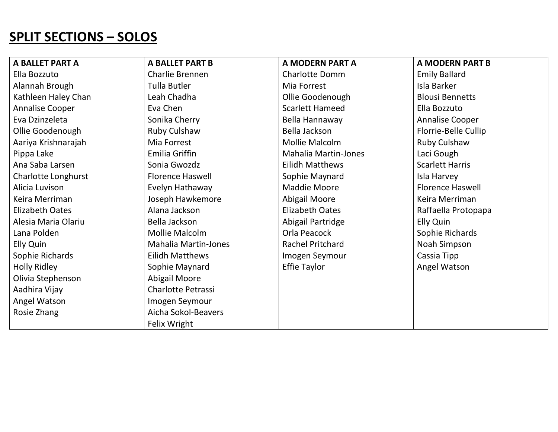## SPLIT SECTIONS – SOLOS

| A BALLET PART A            | <b>A BALLET PART B</b>      | A MODERN PART A             | <b>A MODERN PART B</b>  |
|----------------------------|-----------------------------|-----------------------------|-------------------------|
| Ella Bozzuto               | Charlie Brennen             | <b>Charlotte Domm</b>       | <b>Emily Ballard</b>    |
| Alannah Brough             | <b>Tulla Butler</b>         | Mia Forrest                 | Isla Barker             |
| Kathleen Haley Chan        | Leah Chadha                 | Ollie Goodenough            | <b>Blousi Bennetts</b>  |
| Annalise Cooper            | Eva Chen                    | <b>Scarlett Hameed</b>      | Ella Bozzuto            |
| Eva Dzinzeleta             | Sonika Cherry               | Bella Hannaway              | Annalise Cooper         |
| Ollie Goodenough           | Ruby Culshaw                | Bella Jackson               | Florrie-Belle Cullip    |
| Aariya Krishnarajah        | Mia Forrest                 | Mollie Malcolm              | Ruby Culshaw            |
| Pippa Lake                 | Emilia Griffin              | <b>Mahalia Martin-Jones</b> | Laci Gough              |
| Ana Saba Larsen            | Sonia Gwozdz                | <b>Eilidh Matthews</b>      | <b>Scarlett Harris</b>  |
| <b>Charlotte Longhurst</b> | <b>Florence Haswell</b>     | Sophie Maynard              | Isla Harvey             |
| Alicia Luvison             | Evelyn Hathaway             | Maddie Moore                | <b>Florence Haswell</b> |
| Keira Merriman             | Joseph Hawkemore            | Abigail Moore               | Keira Merriman          |
| Elizabeth Oates            | Alana Jackson               | <b>Elizabeth Oates</b>      | Raffaella Protopapa     |
| Alesia Maria Olariu        | Bella Jackson               | Abigail Partridge           | Elly Quin               |
| Lana Polden                | Mollie Malcolm              | Orla Peacock                | Sophie Richards         |
| Elly Quin                  | <b>Mahalia Martin-Jones</b> | <b>Rachel Pritchard</b>     | Noah Simpson            |
| Sophie Richards            | <b>Eilidh Matthews</b>      | Imogen Seymour              | Cassia Tipp             |
| <b>Holly Ridley</b>        | Sophie Maynard              | <b>Effie Taylor</b>         | Angel Watson            |
| Olivia Stephenson          | <b>Abigail Moore</b>        |                             |                         |
| Aadhira Vijay              | <b>Charlotte Petrassi</b>   |                             |                         |
| Angel Watson               | Imogen Seymour              |                             |                         |
| Rosie Zhang                | Aicha Sokol-Beavers         |                             |                         |
|                            | Felix Wright                |                             |                         |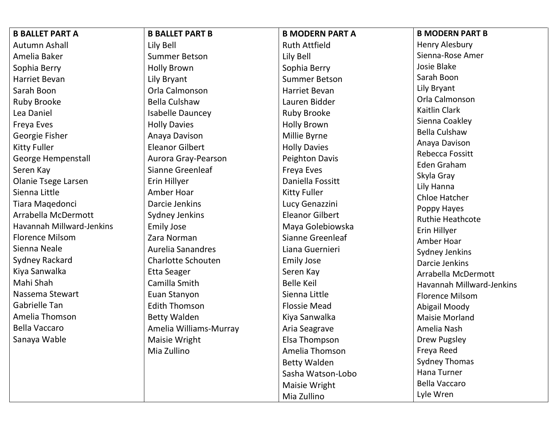| <b>B BALLET PART A</b>     | <b>B BALLET PART B</b>    | <b>B MODERN PART A</b> | <b>B MODERN PART B</b>                 |
|----------------------------|---------------------------|------------------------|----------------------------------------|
| Autumn Ashall              | Lily Bell                 | <b>Ruth Attfield</b>   | Henry Alesbury                         |
| Amelia Baker               | <b>Summer Betson</b>      | Lily Bell              | Sienna-Rose Amer                       |
| Sophia Berry               | <b>Holly Brown</b>        | Sophia Berry           | Josie Blake                            |
| Harriet Bevan              | Lily Bryant               | <b>Summer Betson</b>   | Sarah Boon                             |
| Sarah Boon                 | Orla Calmonson            | Harriet Bevan          | Lily Bryant                            |
| Ruby Brooke                | <b>Bella Culshaw</b>      | Lauren Bidder          | Orla Calmonson                         |
| Lea Daniel                 | <b>Isabelle Dauncey</b>   | <b>Ruby Brooke</b>     | Kaitlin Clark                          |
| Freya Eves                 | <b>Holly Davies</b>       | <b>Holly Brown</b>     | Sienna Coakley                         |
| Georgie Fisher             | Anaya Davison             | Millie Byrne           | <b>Bella Culshaw</b>                   |
| <b>Kitty Fuller</b>        | <b>Eleanor Gilbert</b>    | <b>Holly Davies</b>    | Anaya Davison                          |
| George Hempenstall         | Aurora Gray-Pearson       | <b>Peighton Davis</b>  | Rebecca Fossitt                        |
| Seren Kay                  | Sianne Greenleaf          | Freya Eves             | Eden Graham                            |
| <b>Olanie Tsege Larsen</b> | Erin Hillyer              | Daniella Fossitt       | Skyla Gray                             |
| Sienna Little              | Amber Hoar                | <b>Kitty Fuller</b>    | Lily Hanna                             |
| Tiara Maqedonci            | Darcie Jenkins            | Lucy Genazzini         | <b>Chloe Hatcher</b>                   |
| Arrabella McDermott        | Sydney Jenkins            | <b>Eleanor Gilbert</b> | Poppy Hayes<br><b>Ruthie Heathcote</b> |
| Havannah Millward-Jenkins  | <b>Emily Jose</b>         | Maya Golebiowska       | Erin Hillyer                           |
| <b>Florence Milsom</b>     | Zara Norman               | Sianne Greenleaf       | Amber Hoar                             |
| Sienna Neale               | <b>Aurelia Sanandres</b>  | Liana Guernieri        | Sydney Jenkins                         |
| Sydney Rackard             | <b>Charlotte Schouten</b> | <b>Emily Jose</b>      | Darcie Jenkins                         |
| Kiya Sanwalka              | <b>Etta Seager</b>        | Seren Kay              | Arrabella McDermott                    |
| Mahi Shah                  | Camilla Smith             | <b>Belle Keil</b>      | Havannah Millward-Jenkins              |
| Nassema Stewart            | Euan Stanyon              | Sienna Little          | <b>Florence Milsom</b>                 |
| <b>Gabrielle Tan</b>       | <b>Edith Thomson</b>      | <b>Flossie Mead</b>    | Abigail Moody                          |
| Amelia Thomson             | <b>Betty Walden</b>       | Kiya Sanwalka          | <b>Maisie Morland</b>                  |
| <b>Bella Vaccaro</b>       | Amelia Williams-Murray    | Aria Seagrave          | Amelia Nash                            |
| Sanaya Wable               | Maisie Wright             | Elsa Thompson          | <b>Drew Pugsley</b>                    |
|                            | Mia Zullino               | Amelia Thomson         | Freya Reed                             |
|                            |                           | <b>Betty Walden</b>    | <b>Sydney Thomas</b>                   |
|                            |                           | Sasha Watson-Lobo      | Hana Turner                            |
|                            |                           | Maisie Wright          | <b>Bella Vaccaro</b>                   |
|                            |                           | Mia Zullino            | Lyle Wren                              |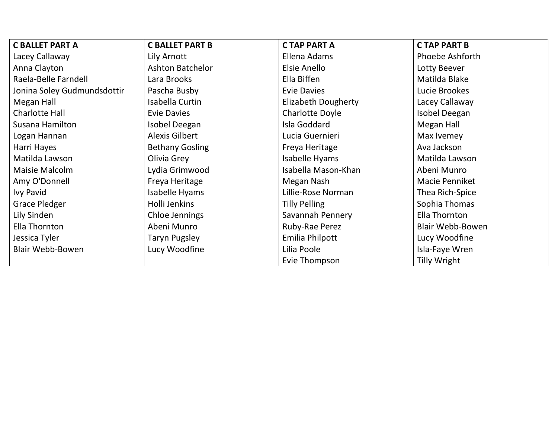| <b>C BALLET PART A</b>      | <b>C BALLET PART B</b>  | <b>CTAP PART A</b>         | <b>CTAP PART B</b>      |
|-----------------------------|-------------------------|----------------------------|-------------------------|
| Lacey Callaway              | Lily Arnott             | Ellena Adams               | <b>Phoebe Ashforth</b>  |
| Anna Clayton                | <b>Ashton Batchelor</b> | Elsie Anello               | Lotty Beever            |
| Raela-Belle Farndell        | Lara Brooks             | Ella Biffen                | Matilda Blake           |
| Jonina Soley Gudmundsdottir | Pascha Busby            | <b>Evie Davies</b>         | Lucie Brookes           |
| Megan Hall                  | Isabella Curtin         | <b>Elizabeth Dougherty</b> | Lacey Callaway          |
| <b>Charlotte Hall</b>       | <b>Evie Davies</b>      | <b>Charlotte Doyle</b>     | Isobel Deegan           |
| Susana Hamilton             | Isobel Deegan           | Isla Goddard               | Megan Hall              |
| Logan Hannan                | <b>Alexis Gilbert</b>   | Lucia Guernieri            | Max Ivemey              |
| Harri Hayes                 | <b>Bethany Gosling</b>  | Freya Heritage             | Ava Jackson             |
| Matilda Lawson              | Olivia Grey             | Isabelle Hyams             | Matilda Lawson          |
| Maisie Malcolm              | Lydia Grimwood          | Isabella Mason-Khan        | Abeni Munro             |
| Amy O'Donnell               | Freya Heritage          | Megan Nash                 | Macie Penniket          |
| <b>Ivy Pavid</b>            | Isabelle Hyams          | Lillie-Rose Norman         | Thea Rich-Spice         |
| <b>Grace Pledger</b>        | Holli Jenkins           | <b>Tilly Pelling</b>       | Sophia Thomas           |
| Lily Sinden                 | Chloe Jennings          | Savannah Pennery           | Ella Thornton           |
| Ella Thornton               | Abeni Munro             | Ruby-Rae Perez             | <b>Blair Webb-Bowen</b> |
| Jessica Tyler               | Taryn Pugsley           | Emilia Philpott            | Lucy Woodfine           |
| <b>Blair Webb-Bowen</b>     | Lucy Woodfine           | Lilia Poole                | Isla-Faye Wren          |
|                             |                         | Evie Thompson              | Tilly Wright            |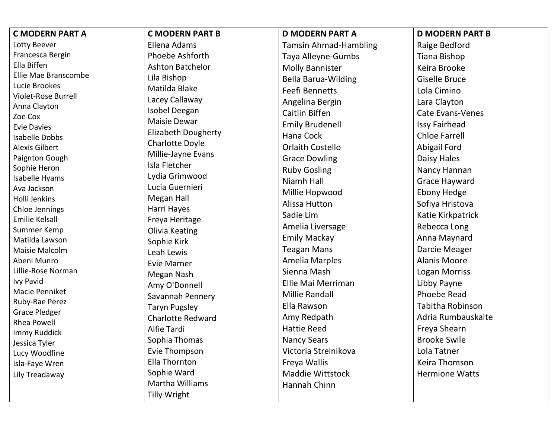| <b>C MODERN PART A</b>                         | <b>C MODERN PART B</b>     | <b>D MODERN PART A</b>       | <b>D MODERN PART B</b>  |
|------------------------------------------------|----------------------------|------------------------------|-------------------------|
| Lotty Beever                                   | Ellena Adams               | <b>Tamsin Ahmad-Hambling</b> | Raige Bedford           |
| Francesca Bergin                               | Phoebe Ashforth            | Taya Alleyne-Gumbs           | <b>Tiana Bishop</b>     |
| Ella Biffen                                    | <b>Ashton Batchelor</b>    | <b>Molly Bannister</b>       | Keira Brooke            |
| Ellie Mae Branscombe                           | Lila Bishop                | <b>Bella Barua-Wilding</b>   | <b>Giselle Bruce</b>    |
| Lucie Brookes                                  | Matilda Blake              | Feefi Bennetts               | Lola Cimino             |
| Violet-Rose Burrell                            | Lacey Callaway             | Angelina Bergin              | Lara Clayton            |
| Anna Clayton                                   | Isobel Deegan              | Caitlin Biffen               | <b>Cate Evans-Venes</b> |
| Zoe Cox                                        | <b>Maisie Dewar</b>        | <b>Emily Brudenell</b>       | <b>Issy Fairhead</b>    |
| <b>Evie Davies</b>                             | <b>Elizabeth Dougherty</b> | Hana Cock                    | <b>Chloe Farrell</b>    |
| <b>Isabelle Dobbs</b><br><b>Alexis Gilbert</b> | Charlotte Doyle            | <b>Orlaith Costello</b>      | <b>Abigail Ford</b>     |
| Paignton Gough                                 | Millie-Jayne Evans         |                              |                         |
| Sophie Heron                                   | Isla Fletcher              | <b>Grace Dowling</b>         | Daisy Hales             |
| Isabelle Hyams                                 | Lydia Grimwood             | <b>Ruby Gosling</b>          | Nancy Hannan            |
| Ava Jackson                                    | Lucia Guernieri            | Niamh Hall                   | <b>Grace Hayward</b>    |
| Holli Jenkins                                  | <b>Megan Hall</b>          | Millie Hopwood               | <b>Ebony Hedge</b>      |
| Chloe Jennings                                 | Harri Hayes                | Alissa Hutton                | Sofiya Hristova         |
| <b>Emilie Kelsall</b>                          | Freya Heritage             | Sadie Lim                    | Katie Kirkpatrick       |
| Summer Kemp                                    | <b>Olivia Keating</b>      | Amelia Liversage             | Rebecca Long            |
| Matilda Lawson                                 | Sophie Kirk                | <b>Emily Mackay</b>          | Anna Maynard            |
| Maisie Malcolm                                 | Leah Lewis                 | <b>Teagan Mans</b>           | Darcie Meager           |
| Abeni Munro                                    | <b>Evie Marner</b>         | <b>Amelia Marples</b>        | <b>Alanis Moore</b>     |
| Lillie-Rose Norman                             | Megan Nash                 | Sienna Mash                  | <b>Logan Morriss</b>    |
| <b>Ivy Pavid</b>                               | Amy O'Donnell              | Ellie Mai Merriman           | Libby Payne             |
| Macie Penniket                                 | Savannah Pennery           | Millie Randall               | <b>Phoebe Read</b>      |
| Ruby-Rae Perez                                 | <b>Taryn Pugsley</b>       | Ella Rawson                  | Tabitha Robinson        |
| Grace Pledger                                  | <b>Charlotte Redward</b>   | Amy Redpath                  | Adria Rumbauskaite      |
| Rhea Powell                                    | Alfie Tardi                | <b>Hattie Reed</b>           | Freya Shearn            |
| Immy Ruddick<br>Jessica Tyler                  | Sophia Thomas              | <b>Nancy Sears</b>           | <b>Brooke Swile</b>     |
| Lucy Woodfine                                  | Evie Thompson              | Victoria Strelnikova         | Lola Tatner             |
| Isla-Faye Wren                                 | Ella Thornton              | Freya Wallis                 | Keira Thomson           |
| Lily Treadaway                                 | Sophie Ward                | Maddie Wittstock             | <b>Hermione Watts</b>   |
|                                                |                            |                              |                         |
|                                                | <b>Martha Williams</b>     | Hannah Chinn                 |                         |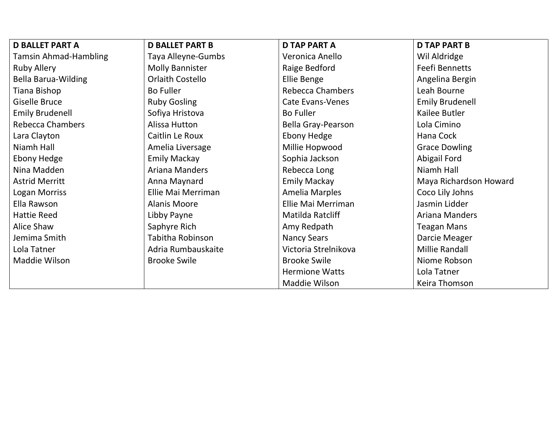| <b>D BALLET PART A</b>       | <b>D BALLET PART B</b>  | <b>D TAP PART A</b>     | <b>D TAP PART B</b>    |
|------------------------------|-------------------------|-------------------------|------------------------|
| <b>Tamsin Ahmad-Hambling</b> | Taya Alleyne-Gumbs      | Veronica Anello         | Wil Aldridge           |
| <b>Ruby Allery</b>           | <b>Molly Bannister</b>  | Raige Bedford           | Feefi Bennetts         |
| <b>Bella Barua-Wilding</b>   | <b>Orlaith Costello</b> | Ellie Benge             | Angelina Bergin        |
| Tiana Bishop                 | <b>Bo Fuller</b>        | <b>Rebecca Chambers</b> | Leah Bourne            |
| <b>Giselle Bruce</b>         | <b>Ruby Gosling</b>     | Cate Evans-Venes        | <b>Emily Brudenell</b> |
| <b>Emily Brudenell</b>       | Sofiya Hristova         | <b>Bo Fuller</b>        | Kailee Butler          |
| <b>Rebecca Chambers</b>      | Alissa Hutton           | Bella Gray-Pearson      | Lola Cimino            |
| Lara Clayton                 | Caitlin Le Roux         | <b>Ebony Hedge</b>      | Hana Cock              |
| Niamh Hall                   | Amelia Liversage        | Millie Hopwood          | <b>Grace Dowling</b>   |
| <b>Ebony Hedge</b>           | <b>Emily Mackay</b>     | Sophia Jackson          | Abigail Ford           |
| Nina Madden                  | Ariana Manders          | Rebecca Long            | Niamh Hall             |
| <b>Astrid Merritt</b>        | Anna Maynard            | <b>Emily Mackay</b>     | Maya Richardson Howard |
| Logan Morriss                | Ellie Mai Merriman      | Amelia Marples          | Coco Lily Johns        |
| Ella Rawson                  | Alanis Moore            | Ellie Mai Merriman      | Jasmin Lidder          |
| <b>Hattie Reed</b>           | Libby Payne             | Matilda Ratcliff        | Ariana Manders         |
| Alice Shaw                   | Saphyre Rich            | Amy Redpath             | <b>Teagan Mans</b>     |
| Jemima Smith                 | Tabitha Robinson        | <b>Nancy Sears</b>      | Darcie Meager          |
| Lola Tatner                  | Adria Rumbauskaite      | Victoria Strelnikova    | <b>Millie Randall</b>  |
| Maddie Wilson                | <b>Brooke Swile</b>     | <b>Brooke Swile</b>     | Niome Robson           |
|                              |                         | <b>Hermione Watts</b>   | Lola Tatner            |
|                              |                         | Maddie Wilson           | Keira Thomson          |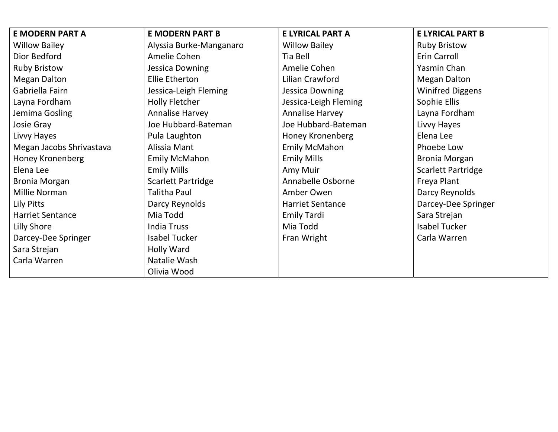| <b>E MODERN PART A</b>   | <b>E MODERN PART B</b>    | E LYRICAL PART A        | <b>E LYRICAL PART B</b>   |
|--------------------------|---------------------------|-------------------------|---------------------------|
| <b>Willow Bailey</b>     | Alyssia Burke-Manganaro   | <b>Willow Bailey</b>    | <b>Ruby Bristow</b>       |
| Dior Bedford             | Amelie Cohen              | Tia Bell                | Erin Carroll              |
| <b>Ruby Bristow</b>      | Jessica Downing           | Amelie Cohen            | Yasmin Chan               |
| <b>Megan Dalton</b>      | Ellie Etherton            | Lilian Crawford         | <b>Megan Dalton</b>       |
| Gabriella Fairn          | Jessica-Leigh Fleming     | Jessica Downing         | <b>Winifred Diggens</b>   |
| Layna Fordham            | <b>Holly Fletcher</b>     | Jessica-Leigh Fleming   | Sophie Ellis              |
| Jemima Gosling           | <b>Annalise Harvey</b>    | <b>Annalise Harvey</b>  | Layna Fordham             |
| Josie Gray               | Joe Hubbard-Bateman       | Joe Hubbard-Bateman     | Livvy Hayes               |
| Livvy Hayes              | Pula Laughton             | Honey Kronenberg        | Elena Lee                 |
| Megan Jacobs Shrivastava | Alissia Mant              | <b>Emily McMahon</b>    | Phoebe Low                |
| Honey Kronenberg         | <b>Emily McMahon</b>      | <b>Emily Mills</b>      | <b>Bronia Morgan</b>      |
| Elena Lee                | <b>Emily Mills</b>        | Amy Muir                | <b>Scarlett Partridge</b> |
| <b>Bronia Morgan</b>     | <b>Scarlett Partridge</b> | Annabelle Osborne       | Freya Plant               |
| Millie Norman            | Talitha Paul              | Amber Owen              | Darcy Reynolds            |
| Lily Pitts               | Darcy Reynolds            | <b>Harriet Sentance</b> | Darcey-Dee Springer       |
| <b>Harriet Sentance</b>  | Mia Todd                  | <b>Emily Tardi</b>      | Sara Strejan              |
| Lilly Shore              | <b>India Truss</b>        | Mia Todd                | <b>Isabel Tucker</b>      |
| Darcey-Dee Springer      | <b>Isabel Tucker</b>      | Fran Wright             | Carla Warren              |
| Sara Strejan             | Holly Ward                |                         |                           |
| Carla Warren             | Natalie Wash              |                         |                           |
|                          | Olivia Wood               |                         |                           |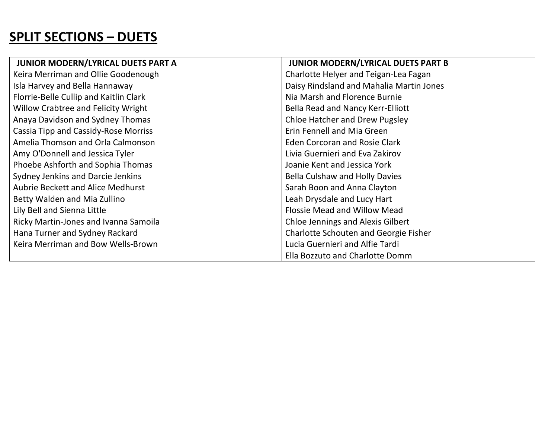## SPLIT SECTIONS – DUETS

| JUNIOR MODERN/LYRICAL DUETS PART A          | JUNIOR MODERN/LYRICAL DUETS PART B       |
|---------------------------------------------|------------------------------------------|
| Keira Merriman and Ollie Goodenough         | Charlotte Helyer and Teigan-Lea Fagan    |
| Isla Harvey and Bella Hannaway              | Daisy Rindsland and Mahalia Martin Jones |
| Florrie-Belle Cullip and Kaitlin Clark      | Nia Marsh and Florence Burnie            |
| Willow Crabtree and Felicity Wright         | Bella Read and Nancy Kerr-Elliott        |
| Anaya Davidson and Sydney Thomas            | <b>Chloe Hatcher and Drew Pugsley</b>    |
| <b>Cassia Tipp and Cassidy-Rose Morriss</b> | Erin Fennell and Mia Green               |
| Amelia Thomson and Orla Calmonson           | <b>Eden Corcoran and Rosie Clark</b>     |
| Amy O'Donnell and Jessica Tyler             | Livia Guernieri and Eva Zakirov          |
| Phoebe Ashforth and Sophia Thomas           | Joanie Kent and Jessica York             |
| Sydney Jenkins and Darcie Jenkins           | <b>Bella Culshaw and Holly Davies</b>    |
| <b>Aubrie Beckett and Alice Medhurst</b>    | Sarah Boon and Anna Clayton              |
| Betty Walden and Mia Zullino                | Leah Drysdale and Lucy Hart              |
| Lily Bell and Sienna Little                 | Flossie Mead and Willow Mead             |
| Ricky Martin-Jones and Ivanna Samoila       | <b>Chloe Jennings and Alexis Gilbert</b> |
| Hana Turner and Sydney Rackard              | Charlotte Schouten and Georgie Fisher    |
| Keira Merriman and Bow Wells-Brown          | Lucia Guernieri and Alfie Tardi          |
|                                             | Ella Bozzuto and Charlotte Domm          |